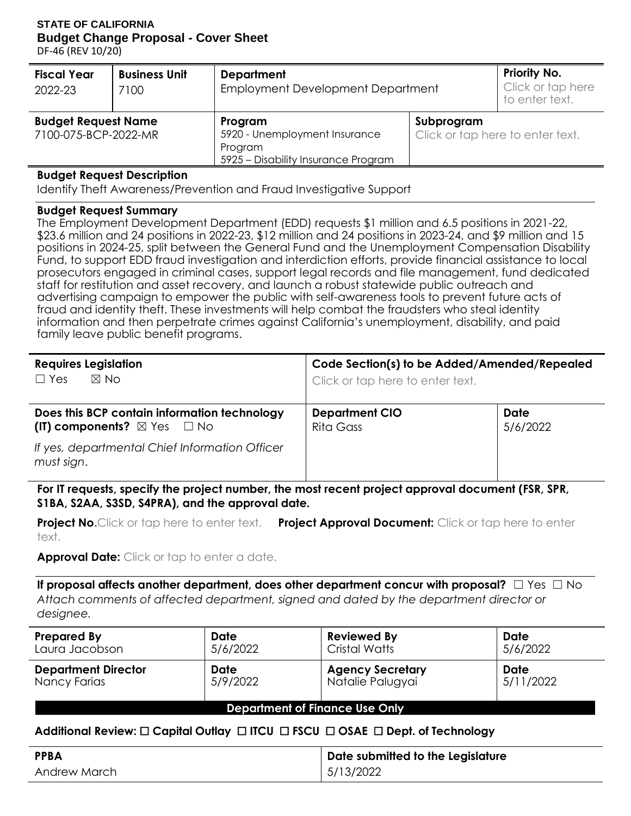#### **STATE OF CALIFORNIA Budget Change Proposal - Cover Sheet**

DF-46 (REV 10/20)

| <b>Fiscal Year</b><br>2022-23                      | <b>Business Unit</b><br>7100 | <b>Department</b><br>Employment Development Department                                     | <b>Priority No.</b><br>Click or tap here<br>to enter text. |  |
|----------------------------------------------------|------------------------------|--------------------------------------------------------------------------------------------|------------------------------------------------------------|--|
| <b>Budget Request Name</b><br>7100-075-BCP-2022-MR |                              | Program<br>5920 - Unemployment Insurance<br>Program<br>5925 - Disability Insurance Program | Subprogram<br>Click or tap here to enter text.             |  |

#### **Budget Request Description**

Identify Theft Awareness/Prevention and Fraud Investigative Support

#### **Budget Request Summary**

 Fund, to support EDD fraud investigation and interdiction efforts, provide financial assistance to local prosecutors engaged in criminal cases, support legal records and file management, fund dedicated advertising campaign to empower the public with self-awareness tools to prevent future acts of fraud and identity theft. These investments will help combat the fraudsters who steal identity information and then perpetrate crimes against California's unemployment, disability, and paid The Employment Development Department (EDD) requests \$1 million and 6.5 positions in 2021-22, \$23.6 million and 24 positions in 2022-23, \$12 million and 24 positions in 2023-24, and \$9 million and 15 positions in 2024-25, split between the General Fund and the Unemployment Compensation Disability staff for restitution and asset recovery, and launch a robust statewide public outreach and family leave public benefit programs.

| <b>Requires Legislation</b><br>$\Box$ Yes<br>$\boxtimes$ No                                | Code Section(s) to be Added/Amended/Repealed<br>Click or tap here to enter text. |                         |
|--------------------------------------------------------------------------------------------|----------------------------------------------------------------------------------|-------------------------|
| Does this BCP contain information technology<br>(IT) components? $\boxtimes$ Yes $\Box$ No | <b>Department CIO</b><br>Rita Gass                                               | <b>Date</b><br>5/6/2022 |
| If yes, departmental Chief Information Officer<br>must sign.                               |                                                                                  |                         |

**For IT requests, specify the project number, the most recent project approval document (FSR, SPR, S1BA, S2AA, S3SD, S4PRA), and the approval date.** 

 **Project No.**Click or tap here to enter text. **Project Approval Document:** Click or tap here to enter text.

**Approval Date:** Click or tap to enter a date.

 **If proposal affects another department, does other department concur with proposal?** ☐ Yes ☐ No *Attach comments of affected department, signed and dated by the department director or designee.* 

| <b>Prepared By</b>         | <b>Date</b> | <b>Reviewed By</b>      | <b>Date</b> |
|----------------------------|-------------|-------------------------|-------------|
| Laura Jacobson             | 5/6/2022    | <b>Cristal Watts</b>    | 5/6/2022    |
| <b>Department Director</b> | <b>Date</b> | <b>Agency Secretary</b> | <b>Date</b> |
| Nancy Farias               | 5/9/2022    | Natalie Palugyai        | 5/11/2022   |

**Department of Finance Use Only** 

## **Additional Review:** ☐ **Capital Outlay** ☐ **ITCU** ☐ **FSCU** ☐ **OSAE** ☐ **Dept. of Technology**

| <b>PPBA</b>  | Date submitted to the Legislature |
|--------------|-----------------------------------|
| Andrew March | 5/13/2022                         |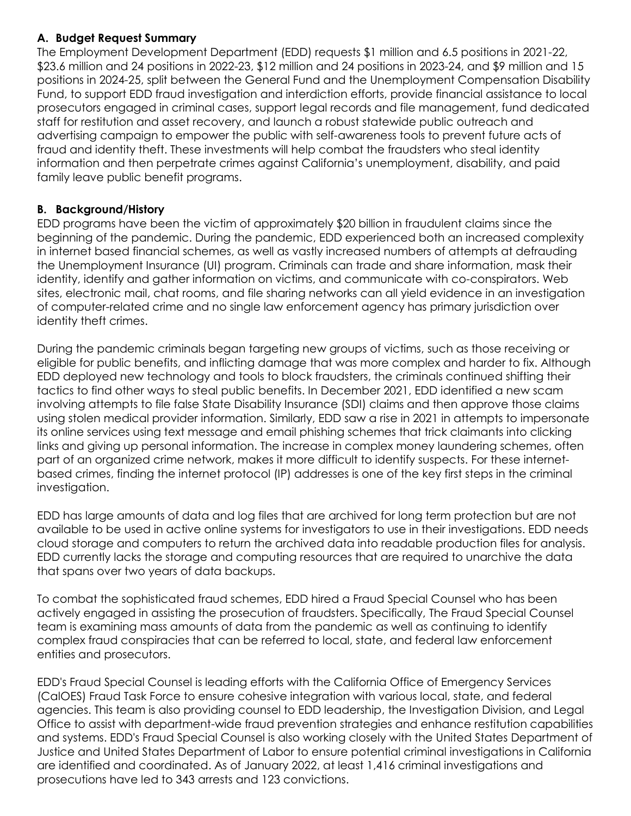## **A. Budget Request Summary**

 Fund, to support EDD fraud investigation and interdiction efforts, provide financial assistance to local prosecutors engaged in criminal cases, support legal records and file management, fund dedicated advertising campaign to empower the public with self-awareness tools to prevent future acts of fraud and identity theft. These investments will help combat the fraudsters who steal identity information and then perpetrate crimes against California's unemployment, disability, and paid The Employment Development Department (EDD) requests \$1 million and 6.5 positions in 2021-22, \$23.6 million and 24 positions in 2022-23, \$12 million and 24 positions in 2023-24, and \$9 million and 15 positions in 2024-25, split between the General Fund and the Unemployment Compensation Disability staff for restitution and asset recovery, and launch a robust statewide public outreach and family leave public benefit programs.

## **B. Background/History**

 EDD programs have been the victim of approximately \$20 billion in fraudulent claims since the in internet based financial schemes, as well as vastly increased numbers of attempts at defrauding identity, identify and gather information on victims, and communicate with co-conspirators. Web sites, electronic mail, chat rooms, and file sharing networks can all yield evidence in an investigation of computer-related crime and no single law enforcement agency has primary jurisdiction over beginning of the pandemic. During the pandemic, EDD experienced both an increased complexity the Unemployment Insurance (UI) program. Criminals can trade and share information, mask their identity theft crimes.

 During the pandemic criminals began targeting new groups of victims, such as those receiving or eligible for public benefits, and inflicting damage that was more complex and harder to fix. Although EDD deployed new technology and tools to block fraudsters, the criminals continued shifting their tactics to find other ways to steal public benefits. In December 2021, EDD identified a new scam involving attempts to file false State Disability Insurance (SDI) claims and then approve those claims using stolen medical provider information. Similarly, EDD saw a rise in 2021 in attempts to impersonate its online services using text message and email phishing schemes that trick claimants into clicking links and giving up personal information. The increase in complex money laundering schemes, often part of an organized crime network, makes it more difficult to identify suspects. For these internet- based crimes, finding the internet protocol (IP) addresses is one of the key first steps in the criminal investigation.

 EDD has large amounts of data and log files that are archived for long term protection but are not available to be used in active online systems for investigators to use in their investigations. EDD needs cloud storage and computers to return the archived data into readable production files for analysis. EDD currently lacks the storage and computing resources that are required to unarchive the data that spans over two years of data backups.

 To combat the sophisticated fraud schemes, EDD hired a Fraud Special Counsel who has been actively engaged in assisting the prosecution of fraudsters. Specifically, The Fraud Special Counsel team is examining mass amounts of data from the pandemic as well as continuing to identify complex fraud conspiracies that can be referred to local, state, and federal law enforcement entities and prosecutors.

 EDD's Fraud Special Counsel is leading efforts with the California Office of Emergency Services (CalOES) Fraud Task Force to ensure cohesive integration with various local, state, and federal agencies. This team is also providing counsel to EDD leadership, the Investigation Division, and Legal Office to assist with department-wide fraud prevention strategies and enhance restitution capabilities and systems. EDD's Fraud Special Counsel is also working closely with the United States Department of Justice and United States Department of Labor to ensure potential criminal investigations in California are identified and coordinated. As of January 2022, at least 1,416 criminal investigations and prosecutions have led to 343 arrests and 123 convictions.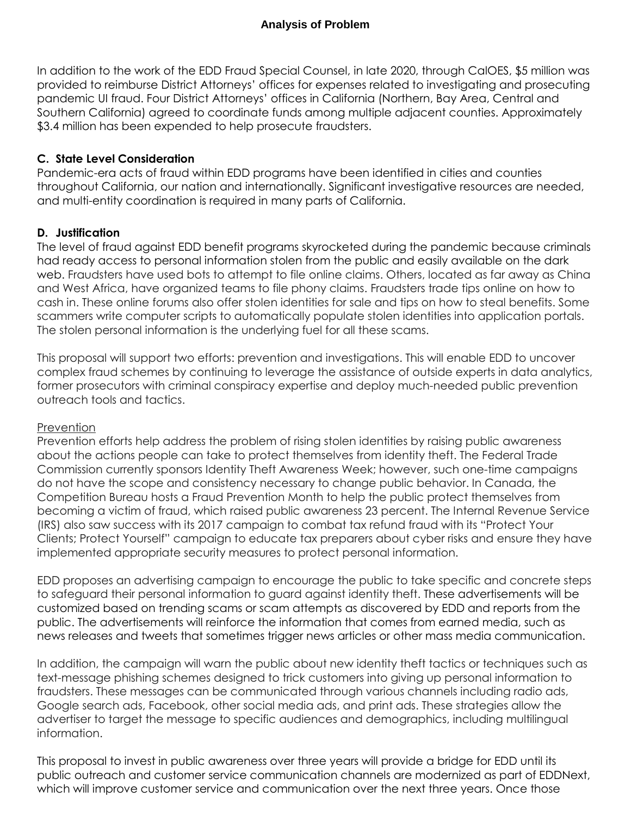In addition to the work of the EDD Fraud Special Counsel, in late 2020, through CalOES, \$5 million was provided to reimburse District Attorneys' offices for expenses related to investigating and prosecuting pandemic UI fraud. Four District Attorneys' offices in California (Northern, Bay Area, Central and Southern California) agreed to coordinate funds among multiple adjacent counties. Approximately \$3.4 million has been expended to help prosecute fraudsters.

## **C. State Level Consideration**

 throughout California, our nation and internationally. Significant investigative resources are needed, and multi-entity coordination is required in many parts of California. Pandemic-era acts of fraud within EDD programs have been identified in cities and counties

## **D. Justification**

 had ready access to personal information stolen from the public and easily available on the dark web. Fraudsters have used bots to attempt to file online claims. Others, located as far away as China and West Africa, have organized teams to file phony claims. Fraudsters trade tips online on how to cash in. These online forums also offer stolen identities for sale and tips on how to steal benefits. Some scammers write computer scripts to automatically populate stolen identities into application portals. The stolen personal information is the underlying fuel for all these scams. The level of fraud against EDD benefit programs skyrocketed during the pandemic because criminals

 This proposal will support two efforts: prevention and investigations. This will enable EDD to uncover complex fraud schemes by continuing to leverage the assistance of outside experts in data analytics, former prosecutors with criminal conspiracy expertise and deploy much-needed public prevention outreach tools and tactics.

## **Prevention**

 about the actions people can take to protect themselves from identity theft. The Federal Trade Commission currently sponsors Identity Theft Awareness Week; however, such one-time campaigns do not have the scope and consistency necessary to change public behavior. In Canada, the Competition Bureau hosts a Fraud Prevention Month to help the public protect themselves from becoming a victim of fraud, which raised public awareness 23 percent. The Internal Revenue Service (IRS) also saw success with its 2017 campaign to combat tax refund fraud with its "Protect Your Clients; Protect Yourself" campaign to educate tax preparers about cyber risks and ensure they have implemented appropriate security measures to protect personal information. Prevention efforts help address the problem of rising stolen identities by raising public awareness

 EDD proposes an advertising campaign to encourage the public to take specific and concrete steps to safeguard their personal information to guard against identity theft. These advertisements will be customized based on trending scams or scam attempts as discovered by EDD and reports from the public. The advertisements will reinforce the information that comes from earned media, such as news releases and tweets that sometimes trigger news articles or other mass media communication.

 In addition, the campaign will warn the public about new identity theft tactics or techniques such as text-message phishing schemes designed to trick customers into giving up personal information to Google search ads, Facebook, other social media ads, and print ads. These strategies allow the advertiser to target the message to specific audiences and demographics, including multilingual fraudsters. These messages can be communicated through various channels including radio ads, information.

 This proposal to invest in public awareness over three years will provide a bridge for EDD until its public outreach and customer service communication channels are modernized as part of EDDNext, which will improve customer service and communication over the next three years. Once those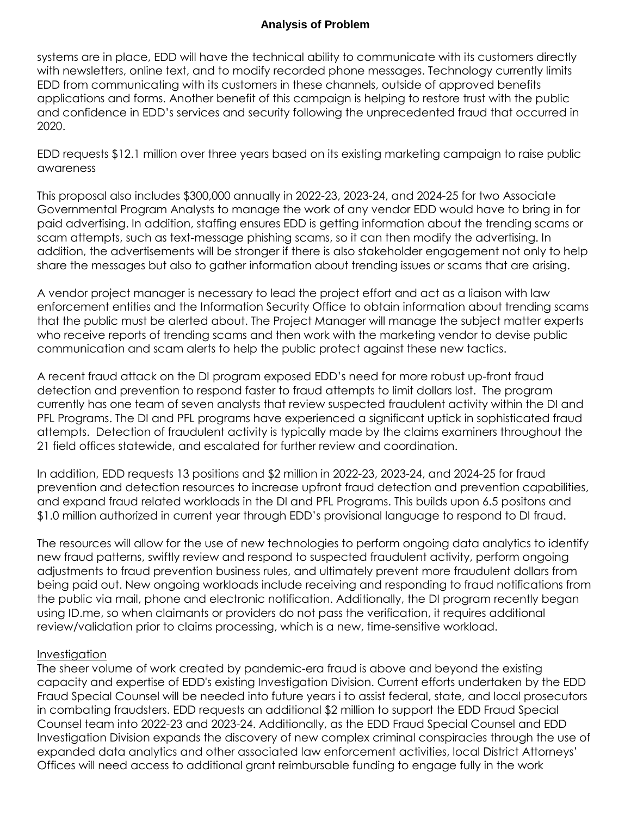systems are in place, EDD will have the technical ability to communicate with its customers directly with newsletters, online text, and to modify recorded phone messages. Technology currently limits EDD from communicating with its customers in these channels, outside of approved benefits applications and forms. Another benefit of this campaign is helping to restore trust with the public and confidence in EDD's services and security following the unprecedented fraud that occurred in 2020.

 EDD requests \$12.1 million over three years based on its existing marketing campaign to raise public awareness

 This proposal also includes \$300,000 annually in 2022-23, 2023-24, and 2024-25 for two Associate Governmental Program Analysts to manage the work of any vendor EDD would have to bring in for paid advertising. In addition, staffing ensures EDD is getting information about the trending scams or scam attempts, such as text-message phishing scams, so it can then modify the advertising. In addition, the advertisements will be stronger if there is also stakeholder engagement not only to help share the messages but also to gather information about trending issues or scams that are arising.

 A vendor project manager is necessary to lead the project effort and act as a liaison with law enforcement entities and the Information Security Office to obtain information about trending scams that the public must be alerted about. The Project Manager will manage the subject matter experts communication and scam alerts to help the public protect against these new tactics. who receive reports of trending scams and then work with the marketing vendor to devise public

 A recent fraud attack on the DI program exposed EDD's need for more robust up-front fraud detection and prevention to respond faster to fraud attempts to limit dollars lost. The program currently has one team of seven analysts that review suspected fraudulent activity within the DI and PFL Programs. The DI and PFL programs have experienced a significant uptick in sophisticated fraud attempts. Detection of fraudulent activity is typically made by the claims examiners throughout the 21 field offices statewide, and escalated for further review and coordination.

 In addition, EDD requests 13 positions and \$2 million in 2022-23, 2023-24, and 2024-25 for fraud prevention and detection resources to increase upfront fraud detection and prevention capabilities, and expand fraud related workloads in the DI and PFL Programs. This builds upon 6.5 positons and \$1.0 million authorized in current year through EDD's provisional language to respond to DI fraud.

 The resources will allow for the use of new technologies to perform ongoing data analytics to identify new fraud patterns, swiftly review and respond to suspected fraudulent activity, perform ongoing adjustments to fraud prevention business rules, and ultimately prevent more fraudulent dollars from being paid out. New ongoing workloads include receiving and responding to fraud notifications from the public via mail, phone and electronic notification. Additionally, the DI program recently began using ID.me, so when claimants or providers do not pass the verification, it requires additional review/validation prior to claims processing, which is a new, time-sensitive workload.

#### Investigation

 The sheer volume of work created by pandemic-era fraud is above and beyond the existing capacity and expertise of EDD's existing Investigation Division. Current efforts undertaken by the EDD Fraud Special Counsel will be needed into future years i to assist federal, state, and local prosecutors in combating fraudsters. EDD requests an additional \$2 million to support the EDD Fraud Special Counsel team into 2022-23 and 2023-24. Additionally, as the EDD Fraud Special Counsel and EDD Investigation Division expands the discovery of new complex criminal conspiracies through the use of expanded data analytics and other associated law enforcement activities, local District Attorneys' Offices will need access to additional grant reimbursable funding to engage fully in the work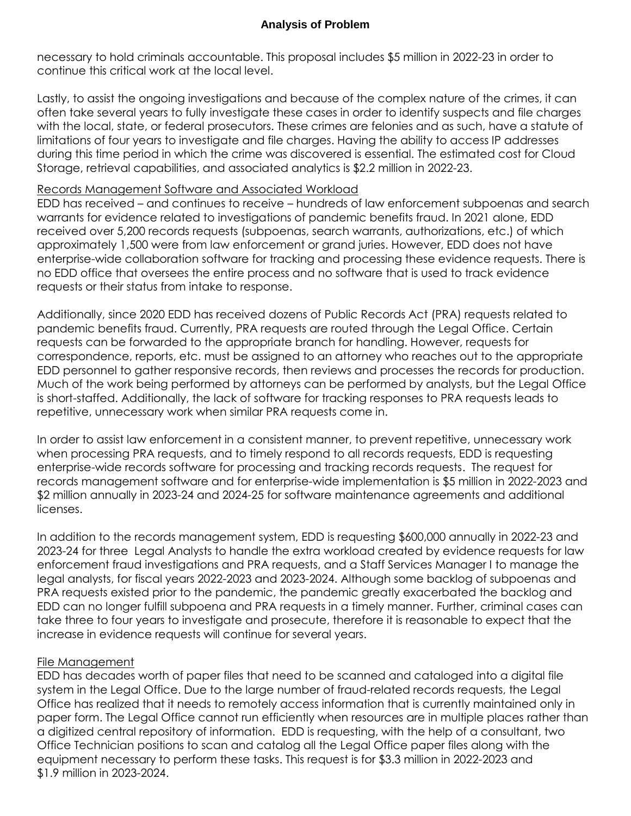necessary to hold criminals accountable. This proposal includes \$5 million in 2022-23 in order to continue this critical work at the local level.

 Lastly, to assist the ongoing investigations and because of the complex nature of the crimes, it can often take several years to fully investigate these cases in order to identify suspects and file charges with the local, state, or federal prosecutors. These crimes are felonies and as such, have a statute of limitations of four years to investigate and file charges. Having the ability to access IP addresses Storage, retrieval capabilities, and associated analytics is \$2.2 million in 2022-23. during this time period in which the crime was discovered is essential. The estimated cost for Cloud

#### Records Management Software and Associated Workload

 EDD has received – and continues to receive – hundreds of law enforcement subpoenas and search warrants for evidence related to investigations of pandemic benefits fraud. In 2021 alone, EDD received over 5,200 records requests (subpoenas, search warrants, authorizations, etc.) of which approximately 1,500 were from law enforcement or grand juries. However, EDD does not have no EDD office that oversees the entire process and no software that is used to track evidence requests or their status from intake to response. enterprise-wide collaboration software for tracking and processing these evidence requests. There is

 Additionally, since 2020 EDD has received dozens of Public Records Act (PRA) requests related to pandemic benefits fraud. Currently, PRA requests are routed through the Legal Office. Certain requests can be forwarded to the appropriate branch for handling. However, requests for correspondence, reports, etc. must be assigned to an attorney who reaches out to the appropriate EDD personnel to gather responsive records, then reviews and processes the records for production. is short-staffed. Additionally, the lack of software for tracking responses to PRA requests leads to repetitive, unnecessary work when similar PRA requests come in. Much of the work being performed by attorneys can be performed by analysts, but the Legal Office

 In order to assist law enforcement in a consistent manner, to prevent repetitive, unnecessary work when processing PRA requests, and to timely respond to all records requests, EDD is requesting enterprise-wide records software for processing and tracking records requests. The request for records management software and for enterprise-wide implementation is \$5 million in 2022-2023 and \$2 million annually in 2023-24 and 2024-25 for software maintenance agreements and additional licenses.

 In addition to the records management system, EDD is requesting \$600,000 annually in 2022-23 and 2023-24 for three Legal Analysts to handle the extra workload created by evidence requests for law enforcement fraud investigations and PRA requests, and a Staff Services Manager I to manage the legal analysts, for fiscal years 2022-2023 and 2023-2024. Although some backlog of subpoenas and PRA requests existed prior to the pandemic, the pandemic greatly exacerbated the backlog and EDD can no longer fulfill subpoena and PRA requests in a timely manner. Further, criminal cases can take three to four years to investigate and prosecute, therefore it is reasonable to expect that the increase in evidence requests will continue for several years.

## File Management

 EDD has decades worth of paper files that need to be scanned and cataloged into a digital file system in the Legal Office. Due to the large number of fraud-related records requests, the Legal Office has realized that it needs to remotely access information that is currently maintained only in a digitized central repository of information. EDD is requesting, with the help of a consultant, two equipment necessary to perform these tasks. This request is for \$3.3 million in 2022-2023 and paper form. The Legal Office cannot run efficiently when resources are in multiple places rather than Office Technician positions to scan and catalog all the Legal Office paper files along with the \$1.9 million in 2023-2024.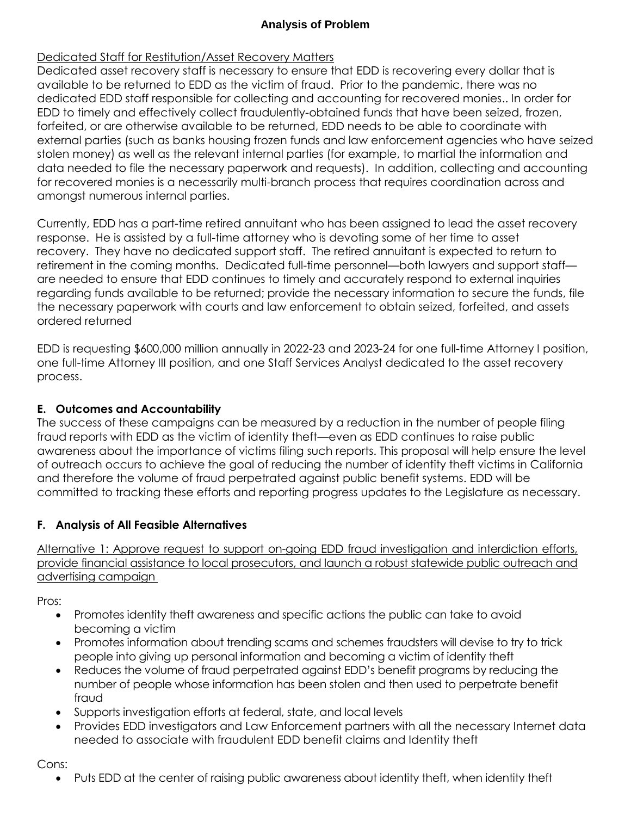## Dedicated Staff for Restitution/Asset Recovery Matters

 Dedicated asset recovery staff is necessary to ensure that EDD is recovering every dollar that is available to be returned to EDD as the victim of fraud. Prior to the pandemic, there was no EDD to timely and effectively collect fraudulently-obtained funds that have been seized, frozen, forfeited, or are otherwise available to be returned, EDD needs to be able to coordinate with external parties (such as banks housing frozen funds and law enforcement agencies who have seized stolen money) as well as the relevant internal parties (for example, to martial the information and for recovered monies is a necessarily multi-branch process that requires coordination across and dedicated EDD staff responsible for collecting and accounting for recovered monies.. In order for data needed to file the necessary paperwork and requests). In addition, collecting and accounting amongst numerous internal parties.

 Currently, EDD has a part-time retired annuitant who has been assigned to lead the asset recovery response. He is assisted by a full-time attorney who is devoting some of her time to asset recovery. They have no dedicated support staff. The retired annuitant is expected to return to retirement in the coming months. Dedicated full-time personnel—both lawyers and support staff— are needed to ensure that EDD continues to timely and accurately respond to external inquiries regarding funds available to be returned; provide the necessary information to secure the funds, file the necessary paperwork with courts and law enforcement to obtain seized, forfeited, and assets ordered returned

 EDD is requesting \$600,000 million annually in 2022-23 and 2023-24 for one full-time Attorney I position, one full-time Attorney III position, and one Staff Services Analyst dedicated to the asset recovery process.

## **E. Outcomes and Accountability**

 The success of these campaigns can be measured by a reduction in the number of people filing fraud reports with EDD as the victim of identity theft—even as EDD continues to raise public awareness about the importance of victims filing such reports. This proposal will help ensure the level of outreach occurs to achieve the goal of reducing the number of identity theft victims in California committed to tracking these efforts and reporting progress updates to the Legislature as necessary. and therefore the volume of fraud perpetrated against public benefit systems. EDD will be

## **F. Analysis of All Feasible Alternatives**

 Alternative 1: Approve request to support on-going EDD fraud investigation and interdiction efforts, provide financial assistance to local prosecutors, and launch a robust statewide public outreach and advertising campaign

Pros:

- Promotes identity theft awareness and specific actions the public can take to avoid becoming a victim
- Promotes information about trending scams and schemes fraudsters will devise to try to trick people into giving up personal information and becoming a victim of identity theft
- Reduces the volume of fraud perpetrated against EDD's benefit programs by reducing the number of people whose information has been stolen and then used to perpetrate benefit fraud
- Supports investigation efforts at federal, state, and local levels
- Provides EDD investigators and Law Enforcement partners with all the necessary Internet data needed to associate with fraudulent EDD benefit claims and Identity theft

Cons:

Puts EDD at the center of raising public awareness about identity theft, when identity theft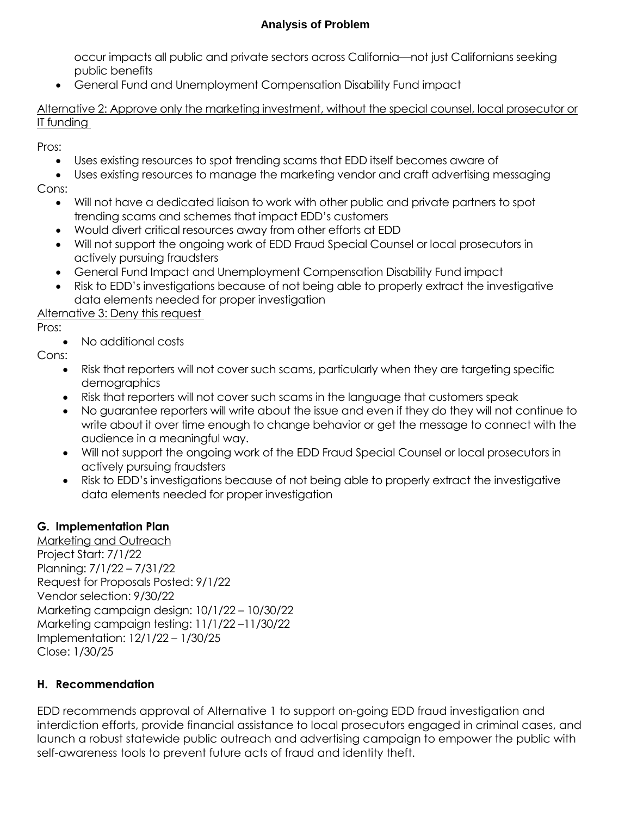occur impacts all public and private sectors across California—not just Californians seeking public benefits

General Fund and Unemployment Compensation Disability Fund impact

 Alternative 2: Approve only the marketing investment, without the special counsel, local prosecutor or IT funding

Pros:

- Uses existing resources to spot trending scams that EDD itself becomes aware of
- Uses existing resources to manage the marketing vendor and craft advertising messaging Cons:
	- Will not have a dedicated liaison to work with other public and private partners to spot trending scams and schemes that impact EDD's customers
	- Would divert critical resources away from other efforts at EDD
	- Will not support the ongoing work of EDD Fraud Special Counsel or local prosecutors in actively pursuing fraudsters
	- General Fund Impact and Unemployment Compensation Disability Fund impact
	- Risk to EDD's investigations because of not being able to properly extract the investigative data elements needed for proper investigation

Alternative 3: Deny this request

Pros:

• No additional costs

Cons:

- Risk that reporters will not cover such scams, particularly when they are targeting specific demographics
- Risk that reporters will not cover such scams in the language that customers speak
- No guarantee reporters will write about the issue and even if they do they will not continue to write about it over time enough to change behavior or get the message to connect with the audience in a meaningful way.
- Will not support the ongoing work of the EDD Fraud Special Counsel or local prosecutors in actively pursuing fraudsters
- Risk to EDD's investigations because of not being able to properly extract the investigative data elements needed for proper investigation

## **G. Implementation Plan**

 Marketing and Outreach Request for Proposals Posted: 9/1/22 Marketing campaign design: 10/1/22 – 10/30/22 Marketing campaign testing: 11/1/22 –11/30/22 Project Start: 7/1/22 Planning: 7/1/22 – 7/31/22 Vendor selection: 9/30/22 Implementation: 12/1/22 – 1/30/25 Close: 1/30/25

## **H. Recommendation**

 interdiction efforts, provide financial assistance to local prosecutors engaged in criminal cases, and launch a robust statewide public outreach and advertising campaign to empower the public with self-awareness tools to prevent future acts of fraud and identity theft. EDD recommends approval of Alternative 1 to support on-going EDD fraud investigation and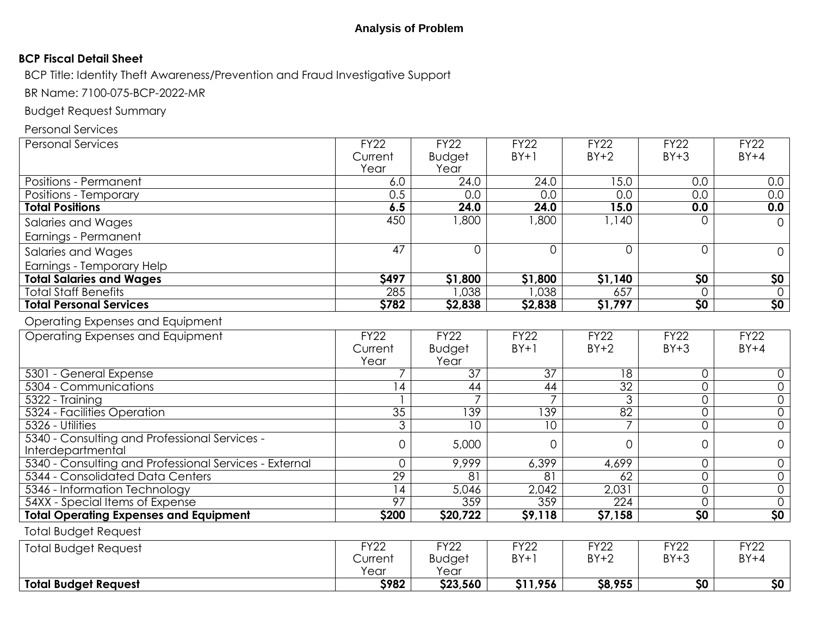#### **BCP Fiscal Detail Sheet**

BCP Title: Identity Theft Awareness/Prevention and Fraud Investigative Support

BR Name: 7100-075-BCP-2022-MR

Budget Request Summary

Personal Services

| <b>Personal Services</b>                               | FY22            | <b>FY22</b>     | FY22            | FY22            | FY22                   | FY22                |
|--------------------------------------------------------|-----------------|-----------------|-----------------|-----------------|------------------------|---------------------|
|                                                        | Current         | <b>Budget</b>   | $BY+1$          | $BY+2$          | $BY+3$                 | $BY+4$              |
|                                                        | Year            | Year            |                 |                 |                        |                     |
| Positions - Permanent                                  | 6.0             | 24.0            | 24.0            | 15.0            | 0.0                    | 0.0                 |
| Positions - Temporary                                  | 0.5             | 0.0             | 0.0             | 0.0             | 0.0                    | 0.0                 |
| <b>Total Positions</b>                                 | 6.5             | 24.0            | 24.0            | 15.0            | 0.0                    | 0.0                 |
| Salaries and Wages                                     | 450             | 1,800           | 1,800           | 1,140           | 0                      | $\overline{0}$      |
| Earnings - Permanent                                   |                 |                 |                 |                 |                        |                     |
| Salaries and Wages                                     | $\overline{47}$ | $\mathbf 0$     | $\overline{O}$  | $\overline{0}$  | $\overline{0}$         | $\Omega$            |
| Earnings - Temporary Help                              |                 |                 |                 |                 |                        |                     |
| <b>Total Salaries and Wages</b>                        | <b>\$497</b>    | \$1,800         | \$1,800         | \$1,140         | $\overline{50}$        | <u>\$0</u>          |
| <b>Total Staff Benefits</b>                            | 285             | 0.038           | 1,038           | 657             | $\Omega$               | $\overline{0}$      |
| <b>Total Personal Services</b>                         | \$782           | \$2,838         | \$2,838         | \$1,797         | $\overline{50}$        | 50                  |
| Operating Expenses and Equipment                       |                 |                 |                 |                 |                        |                     |
| Operating Expenses and Equipment                       | FY22            | FY22            | FY22            | FY22            | FY22                   | FY22                |
|                                                        | Current         | <b>Budget</b>   | $BY+1$          | $BY+2$          | $BY+3$                 | $BY+4$              |
|                                                        | Year            | Year            |                 |                 |                        |                     |
| 5301 - General Expense                                 | 7               | $\overline{37}$ | $\overline{37}$ | $\overline{18}$ | 0                      | 0                   |
| 5304 - Communications                                  | $\overline{14}$ | 44              | $\overline{44}$ | 32              | 0                      | $\overline{0}$      |
| 5322 - Training                                        |                 |                 | $\overline{7}$  | $\overline{3}$  | $\mathbf 0$            | $\mathsf{O}\xspace$ |
| 5324 - Facilities Operation                            | 35              | 139             | 139             | 82              | $\overline{0}$         | $\overline{0}$      |
| 5326 - Utilities                                       | $\overline{3}$  | 10              | 10              | 7               | $\overline{0}$         | $\overline{0}$      |
| 5340 - Consulting and Professional Services -          | $\overline{0}$  | 5,000           | $\Omega$        | $\Omega$        | $\overline{0}$         | $\mathsf{O}\xspace$ |
| Interdepartmental                                      |                 |                 |                 |                 |                        |                     |
| 5340 - Consulting and Professional Services - External | $\overline{0}$  | 9,999           | 6,399           | 4,699           | 0                      | $\overline{0}$      |
| 5344 - Consolidated Data Centers                       | 29              | $\overline{81}$ | 81              | 62              | $\overline{0}$         | $\overline{0}$      |
| 5346 - Information Technology                          | $\overline{14}$ | 5,046           | 2,042           | 2,031           | 0                      | $\overline{0}$      |
| 54XX - Special Items of Expense                        | 97              | 359             | 359             | 224             | 0                      | $\overline{0}$      |
| <b>Total Operating Expenses and Equipment</b>          | \$200           | \$20,722        | \$9,118         | \$7,158         | $\overline{\text{SO}}$ | 50                  |
| <b>Total Budget Request</b>                            |                 |                 |                 |                 |                        |                     |
| <b>Total Budget Request</b>                            | FY22            | FY22            | FY22            | <b>FY22</b>     | <b>FY22</b>            | <b>FY22</b>         |
|                                                        | Current         | <b>Budget</b>   | $BY+1$          | $BY+2$          | $BY+3$                 | $BY+4$              |
|                                                        | Year            | Year            |                 |                 |                        |                     |
| <b>Total Budget Request</b>                            | <b>\$982</b>    | \$23,560        | \$11,956        | \$8,955         | $\overline{50}$        | 50                  |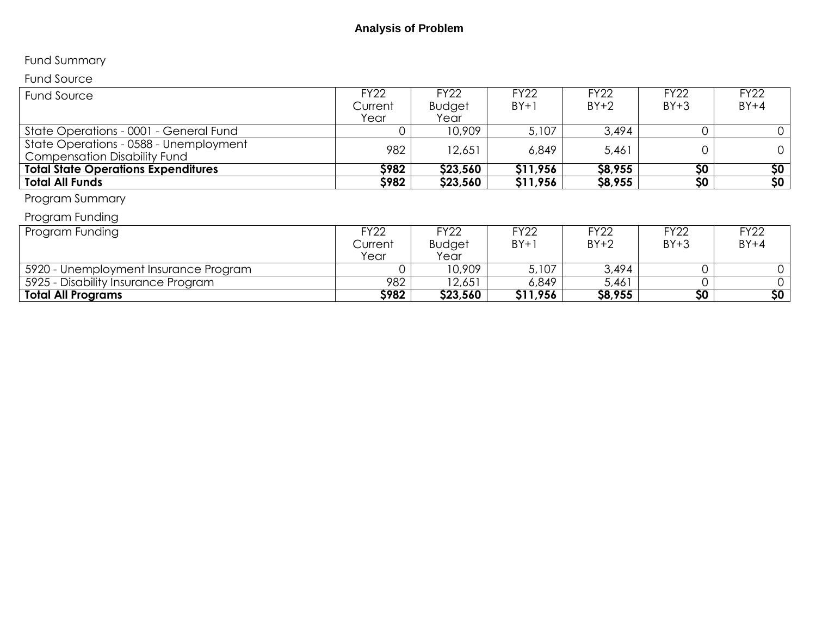# Fund Summary

# Fund Source

| Fund Source                                | <b>FY22</b> | <b>FY22</b>   | <b>FY22</b> | <b>FY22</b> | <b>FY22</b> | <b>FY22</b> |
|--------------------------------------------|-------------|---------------|-------------|-------------|-------------|-------------|
|                                            | Current     | <b>Budget</b> | $BY+1$      | $BY+2$      | $BY+3$      | $BY+4$      |
|                                            | Year        | Year          |             |             |             |             |
| State Operations - 0001 - General Fund     |             | 10,909        | 5,107       | 3,494       |             |             |
| State Operations - 0588 - Unemployment     | 982         | 12,651        | 6,849       | 5,461       |             |             |
| <b>Compensation Disability Fund</b>        |             |               |             |             |             |             |
| <b>Total State Operations Expenditures</b> | <b>S982</b> | \$23,560      | \$11,956    | \$8,955     | \$0         | \$0         |
| <b>Total All Funds</b>                     | \$982       | \$23,560      | \$11,956    | \$8,955     | \$0\$       | 50          |
|                                            |             |               |             |             |             |             |

## Program Summary

# Program Funding

| Program Funding                       | FY22        | <sup>=</sup> Y22 | FY22     | <b>FY22</b> | FY22   | <sup>⊑</sup> Y22∶ |
|---------------------------------------|-------------|------------------|----------|-------------|--------|-------------------|
|                                       | Current     | <b>Budget</b>    | $BY+1$   | $BY+2$      | $BY+3$ | $BY+4$            |
|                                       | Year        | Year             |          |             |        |                   |
| 5920 - Unemployment Insurance Program |             | 10,909           | 5,107    | 3,494       |        |                   |
| 5925 - Disability Insurance Program   | 982         | 12,651           | 6,849    | 5,461       |        |                   |
| <b>Total All Programs</b>             | <b>S982</b> | \$23,560         | \$11,956 | \$8,955     | \$0    | \$0               |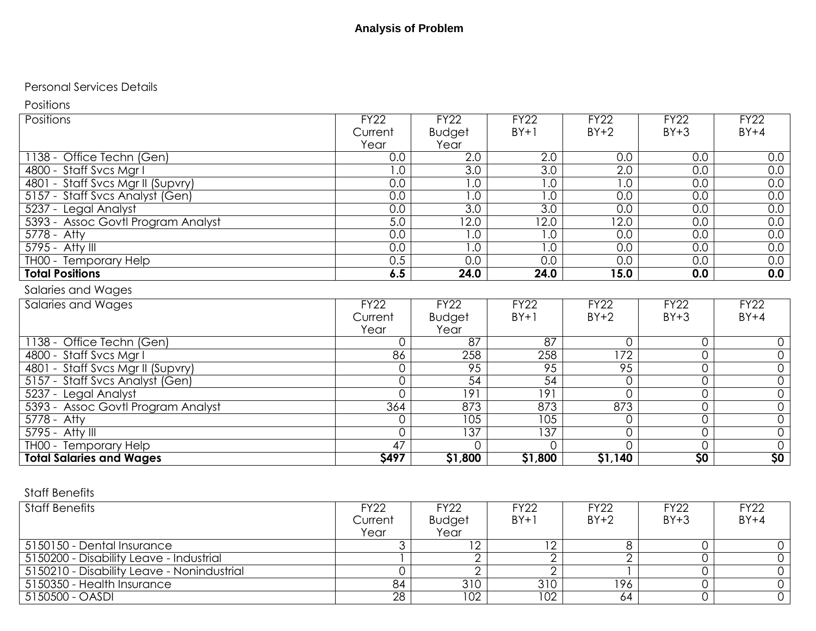#### Personal Services Details

Positions

| Positions                          | <b>FY22</b>    | <b>FY22</b>       | <b>FY22</b>       | <b>FY22</b>       | <b>FY22</b>     | <b>FY22</b>     |
|------------------------------------|----------------|-------------------|-------------------|-------------------|-----------------|-----------------|
|                                    | Current        | Budget            | $BY+1$            | $BY+2$            | $BY+3$          | $BY+4$          |
|                                    | Year           | Year              |                   |                   |                 |                 |
| 1138 - Office Techn (Gen)          | 0.0            | 2.0               | 2.0               | 0.0               | 0.0             | 0.0             |
| 4800 - Staff Svcs Mgr I            | 1.0            | 3.0               | 3.0               | 2.0               | 0.0             | 0.0             |
| 4801 - Staff Svcs Mgr II (Supvry)  | 0.0            | 0. ا              | 0.1               | 1.0               | 0.0             | 0.0             |
| 5157 - Staff Svcs Analyst (Gen)    | 0.0            | $\overline{1.0}$  | 0.1               | 0.0               | 0.0             | 0.0             |
| 5237 - Legal Analyst               | 0.0            | 3.0               | $\overline{3.0}$  | 0.0               | 0.0             | 0.0             |
| 5393 - Assoc Govtl Program Analyst | 5.0            | $\overline{12.0}$ | $\overline{12.0}$ | $\overline{12.0}$ | 0.0             | 0.0             |
| 5778 - Atty                        | 0.0            | 1.0               | 0.1               | 0.0               | 0.0             | 0.0             |
| 5795 - Atty III                    | 0.0            | 0. ا              | 0.1               | 0.0               | 0.0             | 0.0             |
| TH00 - Temporary Help              | 0.5            | 0.0               | 0.0               | 0.0               | 0.0             | 0.0             |
| <b>Total Positions</b>             | 6.5            | 24.0              | 24.0              | 15.0              | 0.0             | 0.0             |
| Salaries and Wages                 |                |                   |                   |                   |                 |                 |
| <b>Salaries and Wages</b>          | <b>FY22</b>    | <b>FY22</b>       | <b>FY22</b>       | <b>FY22</b>       | <b>FY22</b>     | <b>FY22</b>     |
|                                    | Current        | Budget            | $BY+1$            | $BY+2$            | $BY+3$          | $BY+4$          |
|                                    | Year           | Year              |                   |                   |                 |                 |
| 1138 - Office Techn (Gen)          | O              | $\overline{87}$   | $\overline{87}$   | 0                 | $\mathbf 0$     | 0               |
| 4800 - Staff Svcs Mgr I            | 86             | 258               | 258               | $\overline{172}$  | 0               | $\mathsf{O}$    |
| 4801 - Staff Svcs Mgr II (Supvry)  |                | 95                | 95                | 95                | $\overline{0}$  | $\overline{0}$  |
| 5157 - Staff Svcs Analyst (Gen)    | 0              | $\overline{54}$   | $\overline{54}$   | 0                 | $\mathbf 0$     | $\mathsf{O}$    |
| 5237 - Legal Analyst               |                | 191               | 9                 | 0                 | 0               | $\mathsf{O}$    |
| 5393 - Assoc Govtl Program Analyst | 364            | 873               | 873               | 873               | 0               | $\mathbf 0$     |
| $5778 - Atty$                      |                | 105               | 105               | 0                 | $\overline{0}$  | $\overline{0}$  |
| $5795 -$ Atty III                  | $\overline{O}$ | $\overline{137}$  | $\overline{37}$   | 0                 | 0               | $\overline{0}$  |
| THOO - Temporary Help              | 47             |                   |                   | 0                 | 0               | $\overline{0}$  |
| <b>Total Salaries and Wages</b>    | \$497          | \$1,800           | \$1,800           | \$1,140           | $\overline{50}$ | $\overline{50}$ |

## Staff Benefits

| <b>Staff Benefits</b>                      | FY22    | <b>FY22</b>   | <b>FY22</b> | <b>FY22</b> | <b>FY22</b> | <b>FY22</b> |
|--------------------------------------------|---------|---------------|-------------|-------------|-------------|-------------|
|                                            | Current | <b>Budget</b> | $BY+1$      | $BY+2$      | $BY+3$      | $BY+4$      |
|                                            | Year    | Year          |             |             |             |             |
| 5150150 - Dental Insurance                 |         | $\sim$        |             |             |             |             |
| 5150200 - Disability Leave - Industrial    |         |               |             |             |             |             |
| 5150210 - Disability Leave - Nonindustrial |         |               |             |             |             |             |
| 5150350 - Health Insurance                 | 84      | 310           | 310         | 196         |             |             |
| 5150500 - OASDI                            | 28      | 102           | 102         | 64          |             |             |